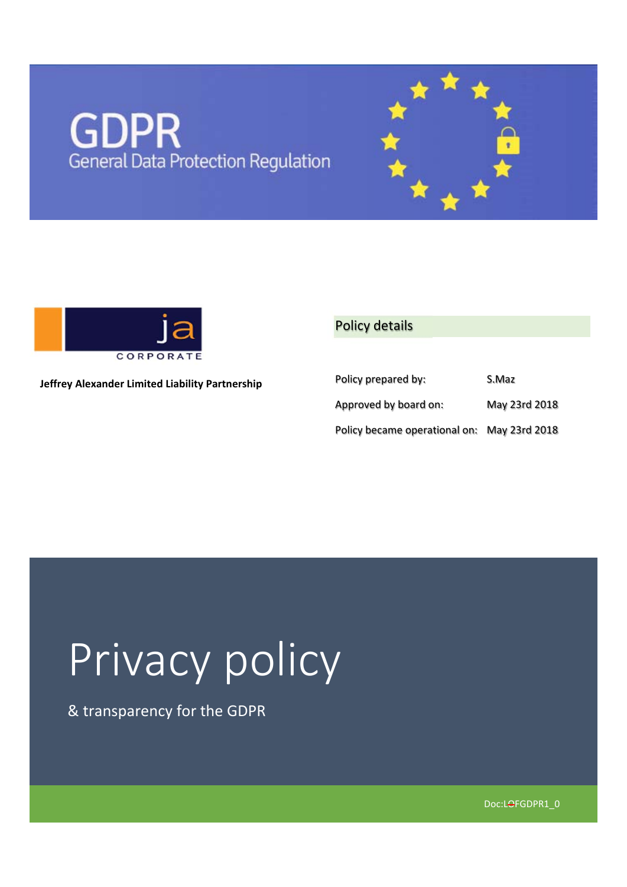# **GDPR**<br>General Data Protection Regulation



**Jeffrey Alexander Limited Liability Partnership** 

## Policy details

| Policy prepared by:                         | S.Maz         |
|---------------------------------------------|---------------|
| Approved by board on:                       | May 23rd 2018 |
| Policy became operational on: May 23rd 2018 |               |

## Privacy policy

& transparency for the GDPR

Doc:LOFGDPR1\_0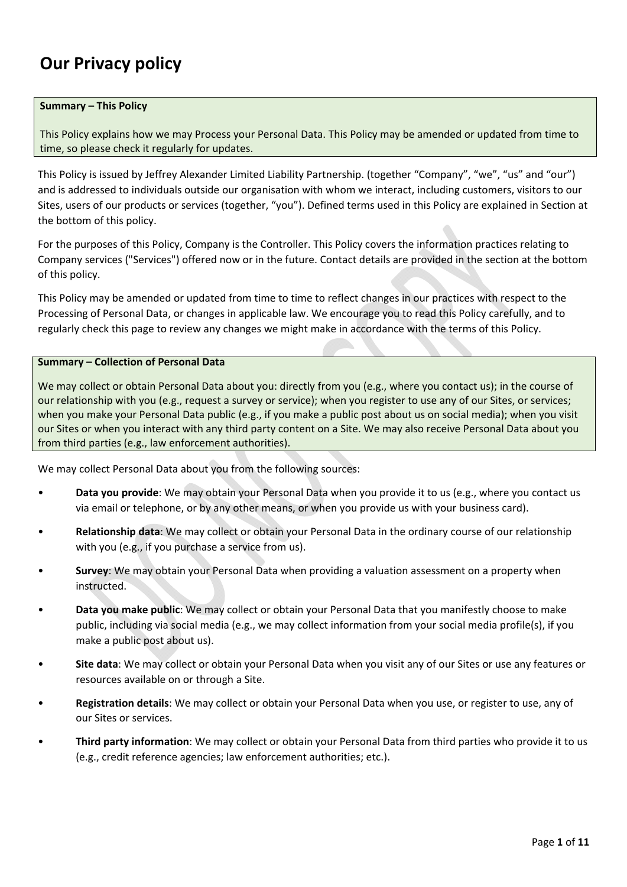## **Our Privacy policy**

#### **Summary – This Policy**

This Policy explains how we may Process your Personal Data. This Policy may be amended or updated from time to time, so please check it regularly for updates.

This Policy is issued by Jeffrey Alexander Limited Liability Partnership. (together "Company", "we", "us" and "our") and is addressed to individuals outside our organisation with whom we interact, including customers, visitors to our Sites, users of our products or services (together, "you"). Defined terms used in this Policy are explained in Section at the bottom of this policy.

For the purposes of this Policy, Company is the Controller. This Policy covers the information practices relating to Company services ("Services") offered now or in the future. Contact details are provided in the section at the bottom of this policy.

This Policy may be amended or updated from time to time to reflect changes in our practices with respect to the Processing of Personal Data, or changes in applicable law. We encourage you to read this Policy carefully, and to regularly check this page to review any changes we might make in accordance with the terms of this Policy.

#### **Summary – Collection of Personal Data**

We may collect or obtain Personal Data about you: directly from you (e.g., where you contact us); in the course of our relationship with you (e.g., request a survey or service); when you register to use any of our Sites, or services; when you make your Personal Data public (e.g., if you make a public post about us on social media); when you visit our Sites or when you interact with any third party content on a Site. We may also receive Personal Data about you from third parties (e.g., law enforcement authorities).

We may collect Personal Data about you from the following sources:

- **Data you provide**: We may obtain your Personal Data when you provide it to us (e.g., where you contact us via email or telephone, or by any other means, or when you provide us with your business card).
- **Relationship data**: We may collect or obtain your Personal Data in the ordinary course of our relationship with you (e.g., if you purchase a service from us).
- **Survey**: We may obtain your Personal Data when providing a valuation assessment on a property when instructed.
- **Data you make public**: We may collect or obtain your Personal Data that you manifestly choose to make public, including via social media (e.g., we may collect information from your social media profile(s), if you make a public post about us).
- **Site data**: We may collect or obtain your Personal Data when you visit any of our Sites or use any features or resources available on or through a Site.
- **Registration details**: We may collect or obtain your Personal Data when you use, or register to use, any of our Sites or services.
- **Third party information**: We may collect or obtain your Personal Data from third parties who provide it to us (e.g., credit reference agencies; law enforcement authorities; etc.).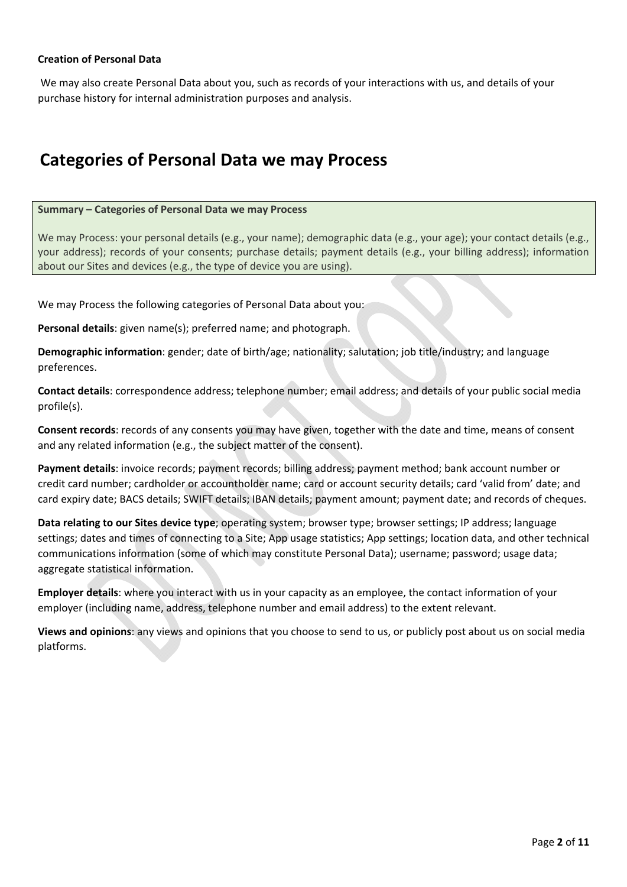## **Creation of Personal Data**

 We may also create Personal Data about you, such as records of your interactions with us, and details of your purchase history for internal administration purposes and analysis.

## **Categories of Personal Data we may Process**

#### **Summary – Categories of Personal Data we may Process**

We may Process: your personal details (e.g., your name); demographic data (e.g., your age); your contact details (e.g., your address); records of your consents; purchase details; payment details (e.g., your billing address); information about our Sites and devices (e.g., the type of device you are using).

We may Process the following categories of Personal Data about you:

**Personal details**: given name(s); preferred name; and photograph.

**Demographic information**: gender; date of birth/age; nationality; salutation; job title/industry; and language preferences.

**Contact details**: correspondence address; telephone number; email address; and details of your public social media profile(s).

**Consent records**: records of any consents you may have given, together with the date and time, means of consent and any related information (e.g., the subject matter of the consent).

**Payment details**: invoice records; payment records; billing address; payment method; bank account number or credit card number; cardholder or accountholder name; card or account security details; card 'valid from' date; and card expiry date; BACS details; SWIFT details; IBAN details; payment amount; payment date; and records of cheques.

**Data relating to our Sites device type**; operating system; browser type; browser settings; IP address; language settings; dates and times of connecting to a Site; App usage statistics; App settings; location data, and other technical communications information (some of which may constitute Personal Data); username; password; usage data; aggregate statistical information.

**Employer details**: where you interact with us in your capacity as an employee, the contact information of your employer (including name, address, telephone number and email address) to the extent relevant.

**Views and opinions**: any views and opinions that you choose to send to us, or publicly post about us on social media platforms.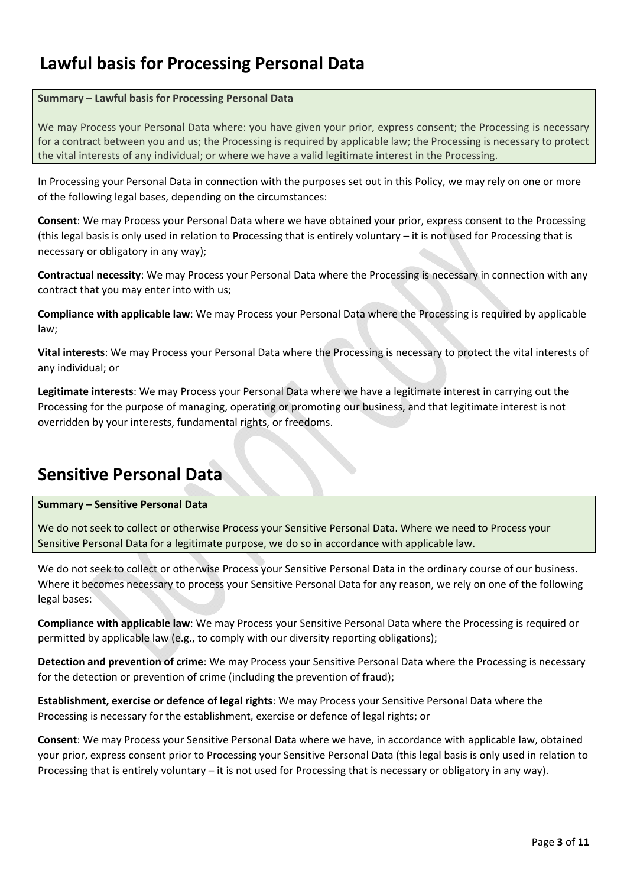## **Lawful basis for Processing Personal Data**

## **Summary – Lawful basis for Processing Personal Data**

We may Process your Personal Data where: you have given your prior, express consent; the Processing is necessary for a contract between you and us; the Processing is required by applicable law; the Processing is necessary to protect the vital interests of any individual; or where we have a valid legitimate interest in the Processing.

In Processing your Personal Data in connection with the purposes set out in this Policy, we may rely on one or more of the following legal bases, depending on the circumstances:

**Consent**: We may Process your Personal Data where we have obtained your prior, express consent to the Processing (this legal basis is only used in relation to Processing that is entirely voluntary – it is not used for Processing that is necessary or obligatory in any way);

**Contractual necessity**: We may Process your Personal Data where the Processing is necessary in connection with any contract that you may enter into with us;

**Compliance with applicable law**: We may Process your Personal Data where the Processing is required by applicable law;

**Vital interests**: We may Process your Personal Data where the Processing is necessary to protect the vital interests of any individual; or

**Legitimate interests**: We may Process your Personal Data where we have a legitimate interest in carrying out the Processing for the purpose of managing, operating or promoting our business, and that legitimate interest is not overridden by your interests, fundamental rights, or freedoms.

## **Sensitive Personal Data**

## **Summary – Sensitive Personal Data**

We do not seek to collect or otherwise Process your Sensitive Personal Data. Where we need to Process your Sensitive Personal Data for a legitimate purpose, we do so in accordance with applicable law.

We do not seek to collect or otherwise Process your Sensitive Personal Data in the ordinary course of our business. Where it becomes necessary to process your Sensitive Personal Data for any reason, we rely on one of the following legal bases:

**Compliance with applicable law**: We may Process your Sensitive Personal Data where the Processing is required or permitted by applicable law (e.g., to comply with our diversity reporting obligations);

**Detection and prevention of crime**: We may Process your Sensitive Personal Data where the Processing is necessary for the detection or prevention of crime (including the prevention of fraud);

**Establishment, exercise or defence of legal rights**: We may Process your Sensitive Personal Data where the Processing is necessary for the establishment, exercise or defence of legal rights; or

**Consent**: We may Process your Sensitive Personal Data where we have, in accordance with applicable law, obtained your prior, express consent prior to Processing your Sensitive Personal Data (this legal basis is only used in relation to Processing that is entirely voluntary – it is not used for Processing that is necessary or obligatory in any way).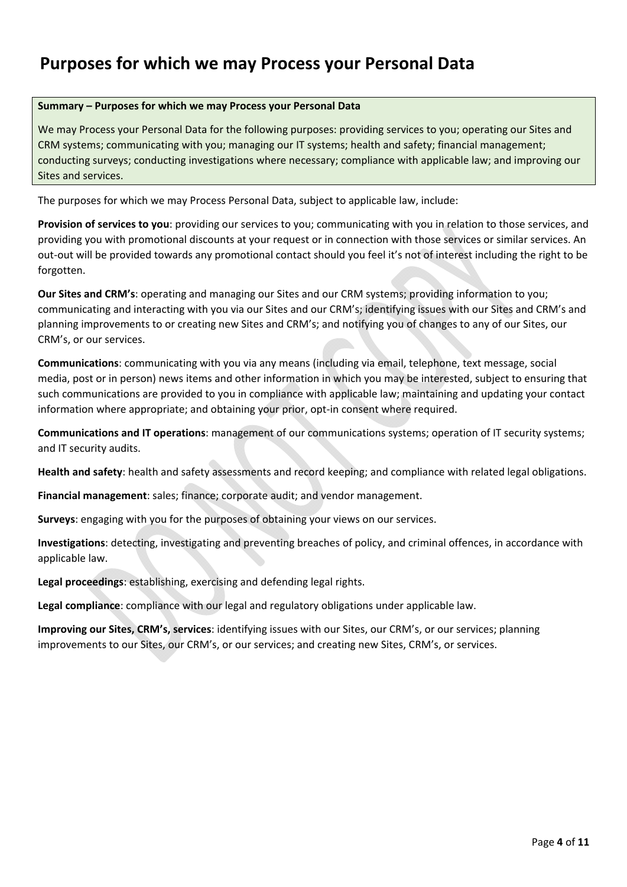## **Purposes for which we may Process your Personal Data**

## **Summary – Purposes for which we may Process your Personal Data**

We may Process your Personal Data for the following purposes: providing services to you; operating our Sites and CRM systems; communicating with you; managing our IT systems; health and safety; financial management; conducting surveys; conducting investigations where necessary; compliance with applicable law; and improving our Sites and services.

The purposes for which we may Process Personal Data, subject to applicable law, include:

**Provision of services to you**: providing our services to you; communicating with you in relation to those services, and providing you with promotional discounts at your request or in connection with those services or similar services. An out‐out will be provided towards any promotional contact should you feel it's not of interest including the right to be forgotten.

**Our Sites and CRM's**: operating and managing our Sites and our CRM systems; providing information to you; communicating and interacting with you via our Sites and our CRM's; identifying issues with our Sites and CRM's and planning improvements to or creating new Sites and CRM's; and notifying you of changes to any of our Sites, our CRM's, or our services.

**Communications**: communicating with you via any means (including via email, telephone, text message, social media, post or in person) news items and other information in which you may be interested, subject to ensuring that such communications are provided to you in compliance with applicable law; maintaining and updating your contact information where appropriate; and obtaining your prior, opt-in consent where required.

**Communications and IT operations**: management of our communications systems; operation of IT security systems; and IT security audits.

**Health and safety**: health and safety assessments and record keeping; and compliance with related legal obligations.

**Financial management**: sales; finance; corporate audit; and vendor management.

**Surveys**: engaging with you for the purposes of obtaining your views on our services.

**Investigations**: detecting, investigating and preventing breaches of policy, and criminal offences, in accordance with applicable law.

**Legal proceedings**: establishing, exercising and defending legal rights.

**Legal compliance**: compliance with our legal and regulatory obligations under applicable law.

**Improving our Sites, CRM's, services**: identifying issues with our Sites, our CRM's, or our services; planning improvements to our Sites, our CRM's, or our services; and creating new Sites, CRM's, or services.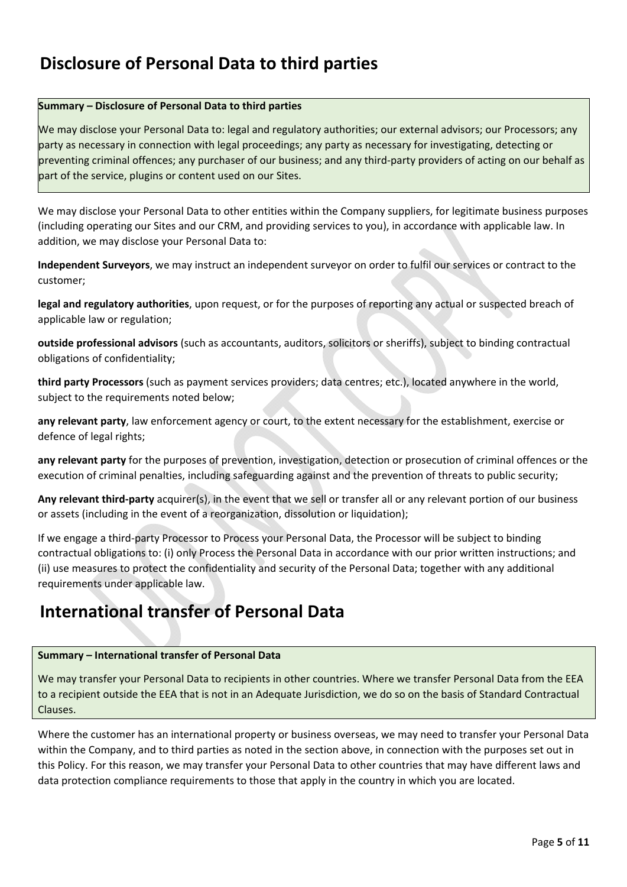## **Disclosure of Personal Data to third parties**

## **Summary – Disclosure of Personal Data to third parties**

We may disclose your Personal Data to: legal and regulatory authorities; our external advisors; our Processors; any party as necessary in connection with legal proceedings; any party as necessary for investigating, detecting or preventing criminal offences; any purchaser of our business; and any third‐party providers of acting on our behalf as part of the service, plugins or content used on our Sites.

We may disclose your Personal Data to other entities within the Company suppliers, for legitimate business purposes (including operating our Sites and our CRM, and providing services to you), in accordance with applicable law. In addition, we may disclose your Personal Data to:

**Independent Surveyors**, we may instruct an independent surveyor on order to fulfil our services or contract to the customer;

**legal and regulatory authorities**, upon request, or for the purposes of reporting any actual or suspected breach of applicable law or regulation;

**outside professional advisors** (such as accountants, auditors, solicitors or sheriffs), subject to binding contractual obligations of confidentiality;

**third party Processors** (such as payment services providers; data centres; etc.), located anywhere in the world, subject to the requirements noted below;

**any relevant party**, law enforcement agency or court, to the extent necessary for the establishment, exercise or defence of legal rights;

**any relevant party** for the purposes of prevention, investigation, detection or prosecution of criminal offences or the execution of criminal penalties, including safeguarding against and the prevention of threats to public security;

**Any relevant third‐party** acquirer(s), in the event that we sell or transfer all or any relevant portion of our business or assets (including in the event of a reorganization, dissolution or liquidation);

If we engage a third‐party Processor to Process your Personal Data, the Processor will be subject to binding contractual obligations to: (i) only Process the Personal Data in accordance with our prior written instructions; and (ii) use measures to protect the confidentiality and security of the Personal Data; together with any additional requirements under applicable law.

## **International transfer of Personal Data**

## **Summary – International transfer of Personal Data**

We may transfer your Personal Data to recipients in other countries. Where we transfer Personal Data from the EEA to a recipient outside the EEA that is not in an Adequate Jurisdiction, we do so on the basis of Standard Contractual Clauses.

Where the customer has an international property or business overseas, we may need to transfer your Personal Data within the Company, and to third parties as noted in the section above, in connection with the purposes set out in this Policy. For this reason, we may transfer your Personal Data to other countries that may have different laws and data protection compliance requirements to those that apply in the country in which you are located.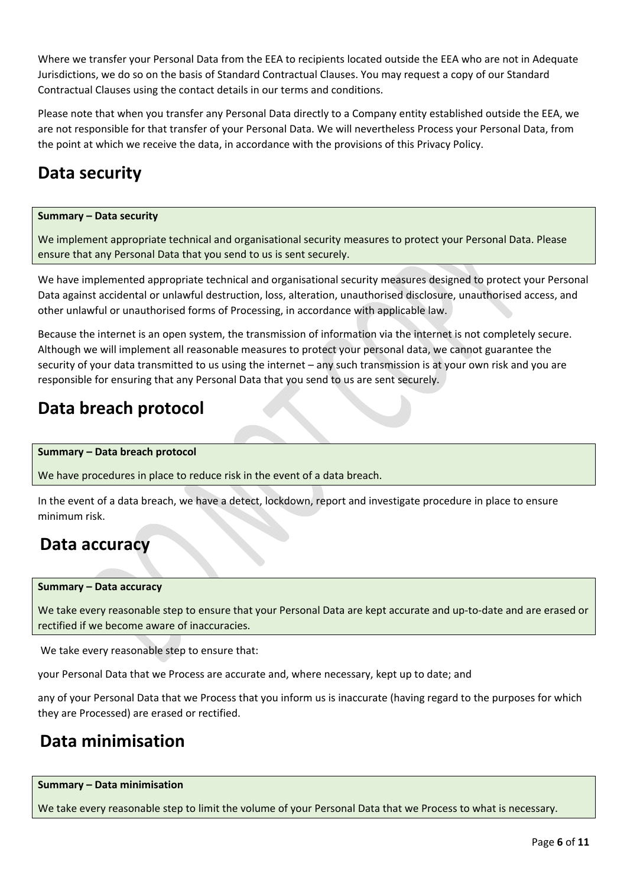Where we transfer your Personal Data from the EEA to recipients located outside the EEA who are not in Adequate Jurisdictions, we do so on the basis of Standard Contractual Clauses. You may request a copy of our Standard Contractual Clauses using the contact details in our terms and conditions.

Please note that when you transfer any Personal Data directly to a Company entity established outside the EEA, we are not responsible for that transfer of your Personal Data. We will nevertheless Process your Personal Data, from the point at which we receive the data, in accordance with the provisions of this Privacy Policy.

## **Data security**

### **Summary – Data security**

We implement appropriate technical and organisational security measures to protect your Personal Data. Please ensure that any Personal Data that you send to us is sent securely.

We have implemented appropriate technical and organisational security measures designed to protect your Personal Data against accidental or unlawful destruction, loss, alteration, unauthorised disclosure, unauthorised access, and other unlawful or unauthorised forms of Processing, in accordance with applicable law.

Because the internet is an open system, the transmission of information via the internet is not completely secure. Although we will implement all reasonable measures to protect your personal data, we cannot guarantee the security of your data transmitted to us using the internet – any such transmission is at your own risk and you are responsible for ensuring that any Personal Data that you send to us are sent securely.

## **Data breach protocol**

## **Summary – Data breach protocol**

We have procedures in place to reduce risk in the event of a data breach.

In the event of a data breach, we have a detect, lockdown, report and investigate procedure in place to ensure minimum risk.

## **Data accuracy**

#### **Summary – Data accuracy**

We take every reasonable step to ensure that your Personal Data are kept accurate and up-to-date and are erased or rectified if we become aware of inaccuracies.

We take every reasonable step to ensure that:

your Personal Data that we Process are accurate and, where necessary, kept up to date; and

any of your Personal Data that we Process that you inform us is inaccurate (having regard to the purposes for which they are Processed) are erased or rectified.

## **Data minimisation**

#### **Summary – Data minimisation**

We take every reasonable step to limit the volume of your Personal Data that we Process to what is necessary.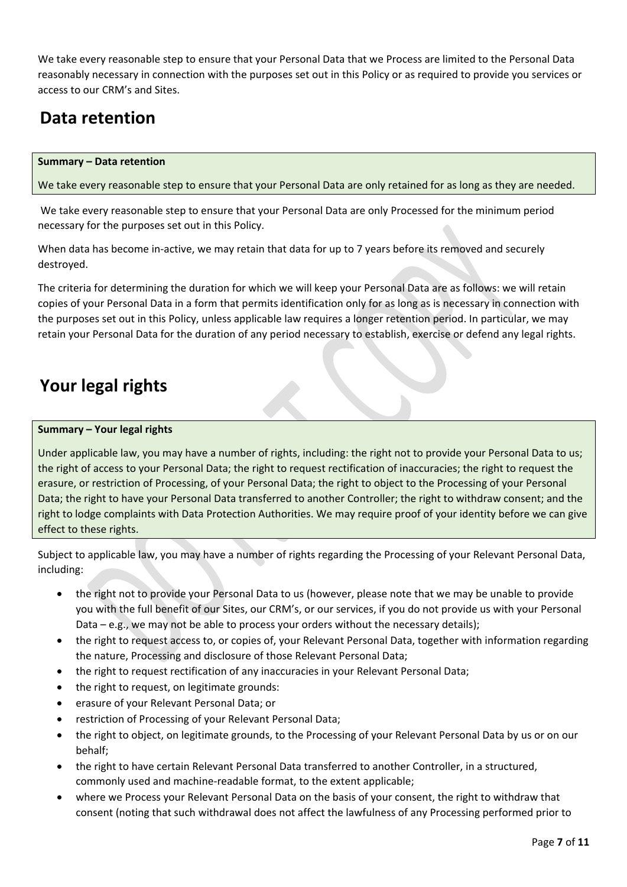We take every reasonable step to ensure that your Personal Data that we Process are limited to the Personal Data reasonably necessary in connection with the purposes set out in this Policy or as required to provide you services or access to our CRM's and Sites.

## **Data retention**

## **Summary – Data retention**

We take every reasonable step to ensure that your Personal Data are only retained for as long as they are needed.

 We take every reasonable step to ensure that your Personal Data are only Processed for the minimum period necessary for the purposes set out in this Policy.

When data has become in-active, we may retain that data for up to 7 years before its removed and securely destroyed.

The criteria for determining the duration for which we will keep your Personal Data are as follows: we will retain copies of your Personal Data in a form that permits identification only for as long as is necessary in connection with the purposes set out in this Policy, unless applicable law requires a longer retention period. In particular, we may retain your Personal Data for the duration of any period necessary to establish, exercise or defend any legal rights.

## **Your legal rights**

## **Summary – Your legal rights**

Under applicable law, you may have a number of rights, including: the right not to provide your Personal Data to us; the right of access to your Personal Data; the right to request rectification of inaccuracies; the right to request the erasure, or restriction of Processing, of your Personal Data; the right to object to the Processing of your Personal Data; the right to have your Personal Data transferred to another Controller; the right to withdraw consent; and the right to lodge complaints with Data Protection Authorities. We may require proof of your identity before we can give effect to these rights.

Subject to applicable law, you may have a number of rights regarding the Processing of your Relevant Personal Data, including:

- the right not to provide your Personal Data to us (however, please note that we may be unable to provide you with the full benefit of our Sites, our CRM's, or our services, if you do not provide us with your Personal Data – e.g., we may not be able to process your orders without the necessary details);
- the right to request access to, or copies of, your Relevant Personal Data, together with information regarding the nature, Processing and disclosure of those Relevant Personal Data;
- the right to request rectification of any inaccuracies in your Relevant Personal Data;
- the right to request, on legitimate grounds:
- erasure of your Relevant Personal Data; or
- restriction of Processing of your Relevant Personal Data;
- the right to object, on legitimate grounds, to the Processing of your Relevant Personal Data by us or on our behalf;
- the right to have certain Relevant Personal Data transferred to another Controller, in a structured, commonly used and machine‐readable format, to the extent applicable;
- where we Process your Relevant Personal Data on the basis of your consent, the right to withdraw that consent (noting that such withdrawal does not affect the lawfulness of any Processing performed prior to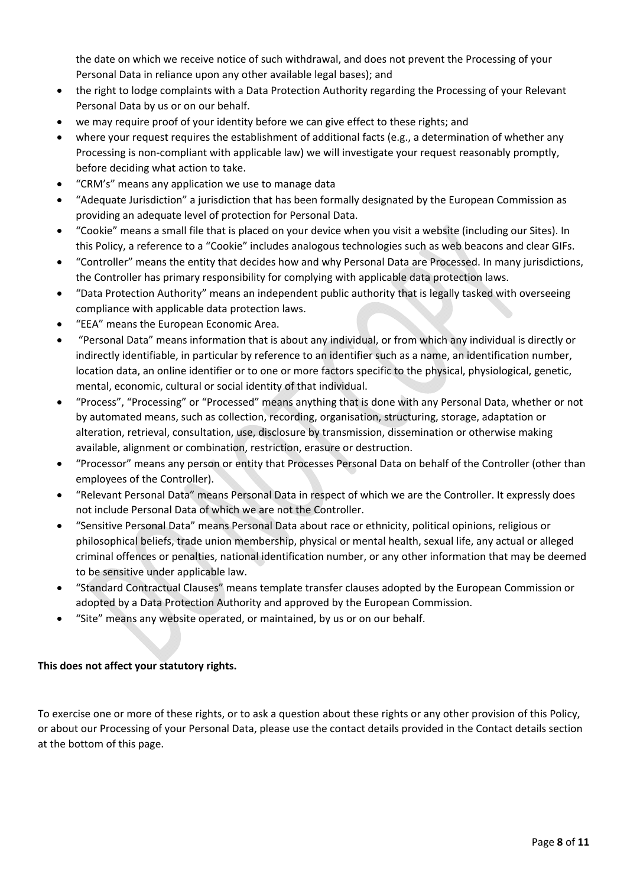the date on which we receive notice of such withdrawal, and does not prevent the Processing of your Personal Data in reliance upon any other available legal bases); and

- the right to lodge complaints with a Data Protection Authority regarding the Processing of your Relevant Personal Data by us or on our behalf.
- we may require proof of your identity before we can give effect to these rights; and
- where your request requires the establishment of additional facts (e.g., a determination of whether any Processing is non‐compliant with applicable law) we will investigate your request reasonably promptly, before deciding what action to take.
- "CRM's" means any application we use to manage data
- "Adequate Jurisdiction" a jurisdiction that has been formally designated by the European Commission as providing an adequate level of protection for Personal Data.
- "Cookie" means a small file that is placed on your device when you visit a website (including our Sites). In this Policy, a reference to a "Cookie" includes analogous technologies such as web beacons and clear GIFs.
- "Controller" means the entity that decides how and why Personal Data are Processed. In many jurisdictions, the Controller has primary responsibility for complying with applicable data protection laws.
- "Data Protection Authority" means an independent public authority that is legally tasked with overseeing compliance with applicable data protection laws.
- "EEA" means the European Economic Area.
- "Personal Data" means information that is about any individual, or from which any individual is directly or indirectly identifiable, in particular by reference to an identifier such as a name, an identification number, location data, an online identifier or to one or more factors specific to the physical, physiological, genetic, mental, economic, cultural or social identity of that individual.
- "Process", "Processing" or "Processed" means anything that is done with any Personal Data, whether or not by automated means, such as collection, recording, organisation, structuring, storage, adaptation or alteration, retrieval, consultation, use, disclosure by transmission, dissemination or otherwise making available, alignment or combination, restriction, erasure or destruction.
- "Processor" means any person or entity that Processes Personal Data on behalf of the Controller (other than employees of the Controller).
- "Relevant Personal Data" means Personal Data in respect of which we are the Controller. It expressly does not include Personal Data of which we are not the Controller.
- "Sensitive Personal Data" means Personal Data about race or ethnicity, political opinions, religious or philosophical beliefs, trade union membership, physical or mental health, sexual life, any actual or alleged criminal offences or penalties, national identification number, or any other information that may be deemed to be sensitive under applicable law.
- "Standard Contractual Clauses" means template transfer clauses adopted by the European Commission or adopted by a Data Protection Authority and approved by the European Commission.
- "Site" means any website operated, or maintained, by us or on our behalf.

## **This does not affect your statutory rights.**

To exercise one or more of these rights, or to ask a question about these rights or any other provision of this Policy, or about our Processing of your Personal Data, please use the contact details provided in the Contact details section at the bottom of this page.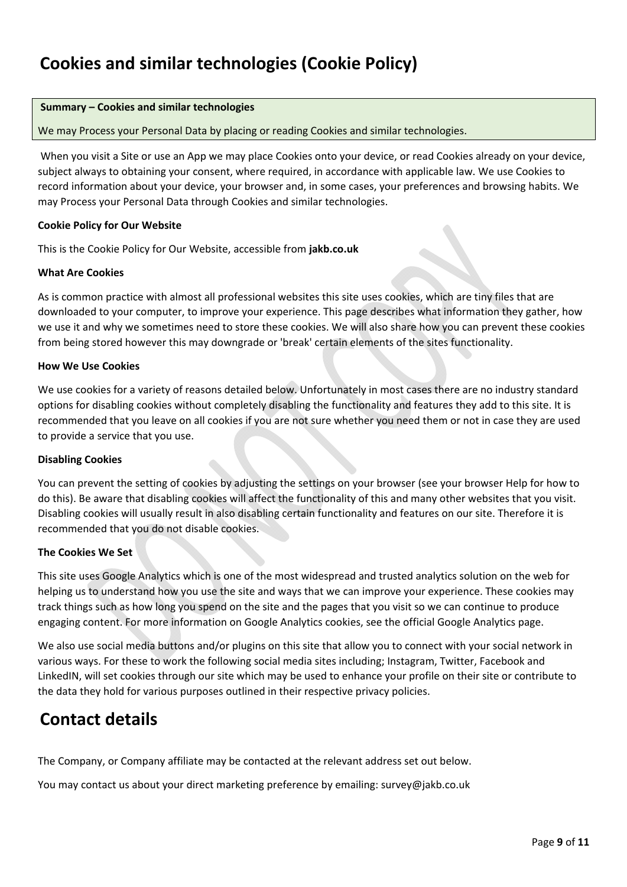## **Cookies and similar technologies (Cookie Policy)**

### **Summary – Cookies and similar technologies**

We may Process your Personal Data by placing or reading Cookies and similar technologies.

When you visit a Site or use an App we may place Cookies onto your device, or read Cookies already on your device, subject always to obtaining your consent, where required, in accordance with applicable law. We use Cookies to record information about your device, your browser and, in some cases, your preferences and browsing habits. We may Process your Personal Data through Cookies and similar technologies.

#### **Cookie Policy for Our Website**

This is the Cookie Policy for Our Website, accessible from **jakb.co.uk**

#### **What Are Cookies**

As is common practice with almost all professional websites this site uses cookies, which are tiny files that are downloaded to your computer, to improve your experience. This page describes what information they gather, how we use it and why we sometimes need to store these cookies. We will also share how you can prevent these cookies from being stored however this may downgrade or 'break' certain elements of the sites functionality.

#### **How We Use Cookies**

We use cookies for a variety of reasons detailed below. Unfortunately in most cases there are no industry standard options for disabling cookies without completely disabling the functionality and features they add to this site. It is recommended that you leave on all cookies if you are not sure whether you need them or not in case they are used to provide a service that you use.

## **Disabling Cookies**

You can prevent the setting of cookies by adjusting the settings on your browser (see your browser Help for how to do this). Be aware that disabling cookies will affect the functionality of this and many other websites that you visit. Disabling cookies will usually result in also disabling certain functionality and features on our site. Therefore it is recommended that you do not disable cookies.

## **The Cookies We Set**

This site uses Google Analytics which is one of the most widespread and trusted analytics solution on the web for helping us to understand how you use the site and ways that we can improve your experience. These cookies may track things such as how long you spend on the site and the pages that you visit so we can continue to produce engaging content. For more information on Google Analytics cookies, see the official Google Analytics page.

We also use social media buttons and/or plugins on this site that allow you to connect with your social network in various ways. For these to work the following social media sites including; Instagram, Twitter, Facebook and LinkedIN, will set cookies through our site which may be used to enhance your profile on their site or contribute to the data they hold for various purposes outlined in their respective privacy policies.

## **Contact details**

The Company, or Company affiliate may be contacted at the relevant address set out below.

You may contact us about your direct marketing preference by emailing: survey@jakb.co.uk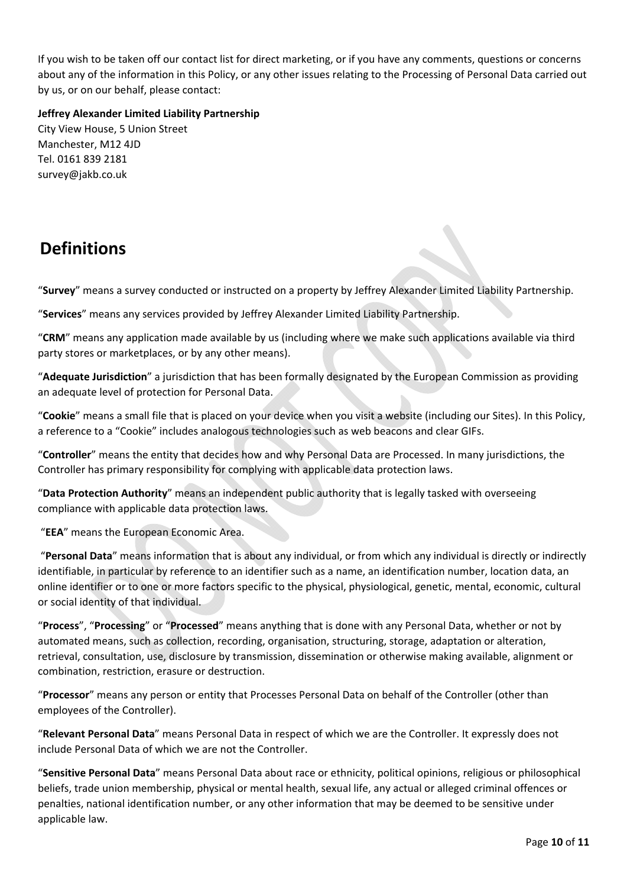If you wish to be taken off our contact list for direct marketing, or if you have any comments, questions or concerns about any of the information in this Policy, or any other issues relating to the Processing of Personal Data carried out by us, or on our behalf, please contact:

**Jeffrey Alexander Limited Liability Partnership**  City View House, 5 Union Street Manchester, M12 4JD Tel. 0161 839 2181 survey@jakb.co.uk

## **Definitions**

"**Survey**" means a survey conducted or instructed on a property by Jeffrey Alexander Limited Liability Partnership.

"**Services**" means any services provided by Jeffrey Alexander Limited Liability Partnership.

"**CRM**" means any application made available by us (including where we make such applications available via third party stores or marketplaces, or by any other means).

"**Adequate Jurisdiction**" a jurisdiction that has been formally designated by the European Commission as providing an adequate level of protection for Personal Data.

"**Cookie**" means a small file that is placed on your device when you visit a website (including our Sites). In this Policy, a reference to a "Cookie" includes analogous technologies such as web beacons and clear GIFs.

"**Controller**" means the entity that decides how and why Personal Data are Processed. In many jurisdictions, the Controller has primary responsibility for complying with applicable data protection laws.

"**Data Protection Authority**" means an independent public authority that is legally tasked with overseeing compliance with applicable data protection laws.

"**EEA**" means the European Economic Area.

 "**Personal Data**" means information that is about any individual, or from which any individual is directly or indirectly identifiable, in particular by reference to an identifier such as a name, an identification number, location data, an online identifier or to one or more factors specific to the physical, physiological, genetic, mental, economic, cultural or social identity of that individual.

"**Process**", "**Processing**" or "**Processed**" means anything that is done with any Personal Data, whether or not by automated means, such as collection, recording, organisation, structuring, storage, adaptation or alteration, retrieval, consultation, use, disclosure by transmission, dissemination or otherwise making available, alignment or combination, restriction, erasure or destruction.

"**Processor**" means any person or entity that Processes Personal Data on behalf of the Controller (other than employees of the Controller).

"**Relevant Personal Data**" means Personal Data in respect of which we are the Controller. It expressly does not include Personal Data of which we are not the Controller.

"**Sensitive Personal Data**" means Personal Data about race or ethnicity, political opinions, religious or philosophical beliefs, trade union membership, physical or mental health, sexual life, any actual or alleged criminal offences or penalties, national identification number, or any other information that may be deemed to be sensitive under applicable law.